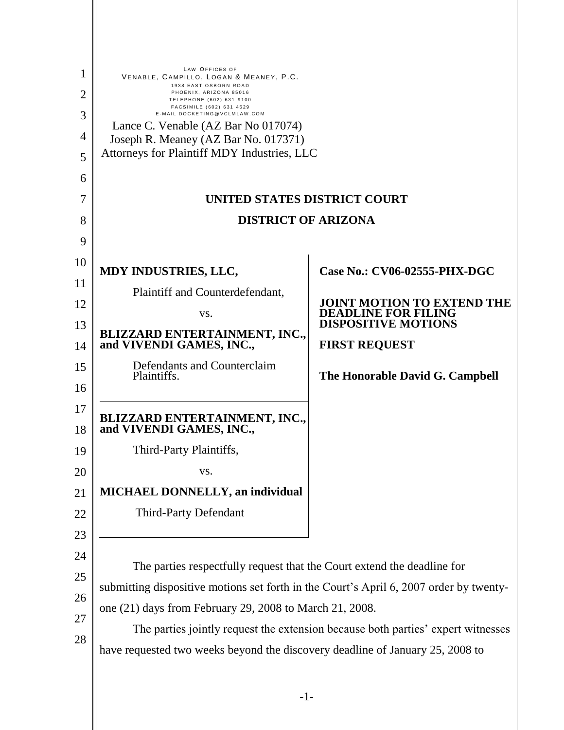| 1        | LAW OFFICES OF<br>VENABLE, CAMPILLO, LOGAN & MEANEY, P.C.<br>1938 EAST OSBORN ROAD<br>PHOENIX, ARIZONA 85016<br>TELEPHONE (602) 631-9100<br>FACSIMILE (602) 631 4529<br>E-MAIL DOCKETING@VCLMLAW.COM<br>Lance C. Venable (AZ Bar No 017074) |                                                                                  |  |  |  |
|----------|---------------------------------------------------------------------------------------------------------------------------------------------------------------------------------------------------------------------------------------------|----------------------------------------------------------------------------------|--|--|--|
| 2        |                                                                                                                                                                                                                                             |                                                                                  |  |  |  |
| 3        |                                                                                                                                                                                                                                             |                                                                                  |  |  |  |
| 4        | Joseph R. Meaney (AZ Bar No. 017371)                                                                                                                                                                                                        |                                                                                  |  |  |  |
| 5        | Attorneys for Plaintiff MDY Industries, LLC                                                                                                                                                                                                 |                                                                                  |  |  |  |
| 6        |                                                                                                                                                                                                                                             |                                                                                  |  |  |  |
| 7        | UNITED STATES DISTRICT COURT                                                                                                                                                                                                                |                                                                                  |  |  |  |
| 8        | <b>DISTRICT OF ARIZONA</b>                                                                                                                                                                                                                  |                                                                                  |  |  |  |
| 9        |                                                                                                                                                                                                                                             |                                                                                  |  |  |  |
| 10       | MDY INDUSTRIES, LLC,                                                                                                                                                                                                                        | Case No.: CV06-02555-PHX-DGC                                                     |  |  |  |
| 11       | Plaintiff and Counterdefendant,                                                                                                                                                                                                             |                                                                                  |  |  |  |
| 12       | VS.                                                                                                                                                                                                                                         | JOINT MOTION TO EXTEND THE<br><b>DEADLINE FOR FILING</b>                         |  |  |  |
| 13       | BLIZZARD ENTERTAINMENT, INC.,                                                                                                                                                                                                               | <b>DISPOSITIVE MOTIONS</b>                                                       |  |  |  |
| 14       | and VIVENDI GAMES, INC.,                                                                                                                                                                                                                    | <b>FIRST REQUEST</b>                                                             |  |  |  |
| 15       | Defendants and Counterclaim<br>Plaintiffs.                                                                                                                                                                                                  | The Honorable David G. Campbell                                                  |  |  |  |
| 16       |                                                                                                                                                                                                                                             |                                                                                  |  |  |  |
| 17<br>18 | <b>BLIZZARD ENTERTAINMENT, INC.,<br/>and VIVENDI GAMES, INC.,</b>                                                                                                                                                                           |                                                                                  |  |  |  |
| 19       | Third-Party Plaintiffs,                                                                                                                                                                                                                     |                                                                                  |  |  |  |
| 20       | VS.                                                                                                                                                                                                                                         |                                                                                  |  |  |  |
| 21       | <b>MICHAEL DONNELLY, an individual</b>                                                                                                                                                                                                      |                                                                                  |  |  |  |
| 22       | <b>Third-Party Defendant</b>                                                                                                                                                                                                                |                                                                                  |  |  |  |
| 23       |                                                                                                                                                                                                                                             |                                                                                  |  |  |  |
| 24       |                                                                                                                                                                                                                                             |                                                                                  |  |  |  |
| 25       | The parties respectfully request that the Court extend the deadline for                                                                                                                                                                     |                                                                                  |  |  |  |
| 26       | submitting dispositive motions set forth in the Court's April 6, 2007 order by twenty-<br>one (21) days from February 29, 2008 to March 21, 2008.                                                                                           |                                                                                  |  |  |  |
| 27       |                                                                                                                                                                                                                                             |                                                                                  |  |  |  |
|          |                                                                                                                                                                                                                                             | The parties jointly request the extension because both parties' expert witnesses |  |  |  |
| 28       | have requested two weeks beyond the discovery deadline of January 25, 2008 to                                                                                                                                                               |                                                                                  |  |  |  |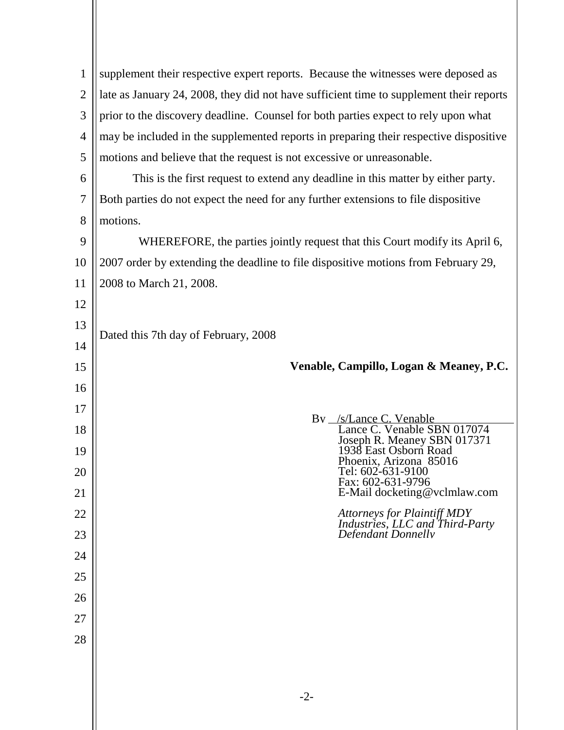| 1              | supplement their respective expert reports. Because the witnesses were deposed as       |  |  |  |  |
|----------------|-----------------------------------------------------------------------------------------|--|--|--|--|
| $\overline{2}$ |                                                                                         |  |  |  |  |
| 3              | late as January 24, 2008, they did not have sufficient time to supplement their reports |  |  |  |  |
|                | prior to the discovery deadline. Counsel for both parties expect to rely upon what      |  |  |  |  |
| $\overline{4}$ | may be included in the supplemented reports in preparing their respective dispositive   |  |  |  |  |
| 5              | motions and believe that the request is not excessive or unreasonable.                  |  |  |  |  |
| 6              | This is the first request to extend any deadline in this matter by either party.        |  |  |  |  |
| $\overline{7}$ | Both parties do not expect the need for any further extensions to file dispositive      |  |  |  |  |
| 8              | motions.                                                                                |  |  |  |  |
| 9              | WHEREFORE, the parties jointly request that this Court modify its April 6,              |  |  |  |  |
| 10             | 2007 order by extending the deadline to file dispositive motions from February 29,      |  |  |  |  |
| 11             | 2008 to March 21, 2008.                                                                 |  |  |  |  |
| 12             |                                                                                         |  |  |  |  |
| 13             | Dated this 7th day of February, 2008                                                    |  |  |  |  |
| 14             |                                                                                         |  |  |  |  |
| 15             | Venable, Campillo, Logan & Meaney, P.C.                                                 |  |  |  |  |
| 16             |                                                                                         |  |  |  |  |
| 17             |                                                                                         |  |  |  |  |
| 18             | By /s/Lance C. Venable<br>Lance C. Venable SBN 017074                                   |  |  |  |  |
| 19             | Joseph R. Meaney SBN 017371<br>1938 East Osborn Road                                    |  |  |  |  |
| 20             | Phoenix, Arizona 85016<br>Tel: 602-631-9100                                             |  |  |  |  |
| 21             | Fax: 602-631-9796<br>E-Mail docketing@vclmlaw.com                                       |  |  |  |  |
| 22             |                                                                                         |  |  |  |  |
| 23             | Attorneys for Plaintiff MDY<br>Industries, LLC and Third-Party<br>Defendant Donnellv    |  |  |  |  |
| 24             |                                                                                         |  |  |  |  |
| 25             |                                                                                         |  |  |  |  |
| 26             |                                                                                         |  |  |  |  |
| 27             |                                                                                         |  |  |  |  |
| 28             |                                                                                         |  |  |  |  |
|                |                                                                                         |  |  |  |  |
|                |                                                                                         |  |  |  |  |
|                | $-2-$                                                                                   |  |  |  |  |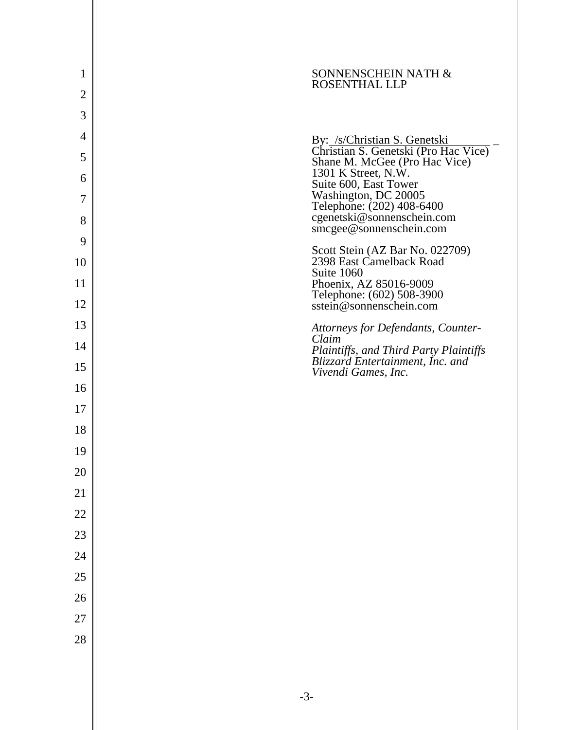| 1              | SONNENSCHEIN NATH &<br><b>ROSENTHAL LLP</b>                                        |  |
|----------------|------------------------------------------------------------------------------------|--|
| $\overline{2}$ |                                                                                    |  |
| 3              |                                                                                    |  |
| 4              | By: /s/Christian S. Genetski                                                       |  |
| 5              | Christian S. Genetski (Pro Hac Vice)<br>Shane M. McGee (Pro Hac Vice)              |  |
| 6              | 1301 K Street, N.W.<br>Suite 600, East Tower                                       |  |
| 7              | Washington, DC 20005                                                               |  |
| 8              | Telephone: (202) 408-6400<br>cgenetski@sonnenschein.com<br>smcgee@sonnenschein.com |  |
| 9              | Scott Stein (AZ Bar No. 022709)                                                    |  |
| 10             | 2398 East Camelback Road<br>Suite 1060                                             |  |
| 11             | Phoenix, AZ 85016-9009                                                             |  |
| 12             | Telephone: (602) 508-3900<br>sstein@sonnenschein.com                               |  |
| 13             | Attorneys for Defendants, Counter-<br>Claim                                        |  |
| 14             | Plaintiffs, and Third Party Plaintiffs<br>Blizzard Entertainment, Inc. and         |  |
| 15             | Vivendi Games, Inc.                                                                |  |
| 16             |                                                                                    |  |
| 17             |                                                                                    |  |
| 18             |                                                                                    |  |
| 19             |                                                                                    |  |
| 20             |                                                                                    |  |
| 21             |                                                                                    |  |
| 22             |                                                                                    |  |
| 23             |                                                                                    |  |
| 24             |                                                                                    |  |
| 25             |                                                                                    |  |
| 26             |                                                                                    |  |
| 27             |                                                                                    |  |
| 28             |                                                                                    |  |
|                |                                                                                    |  |
|                |                                                                                    |  |